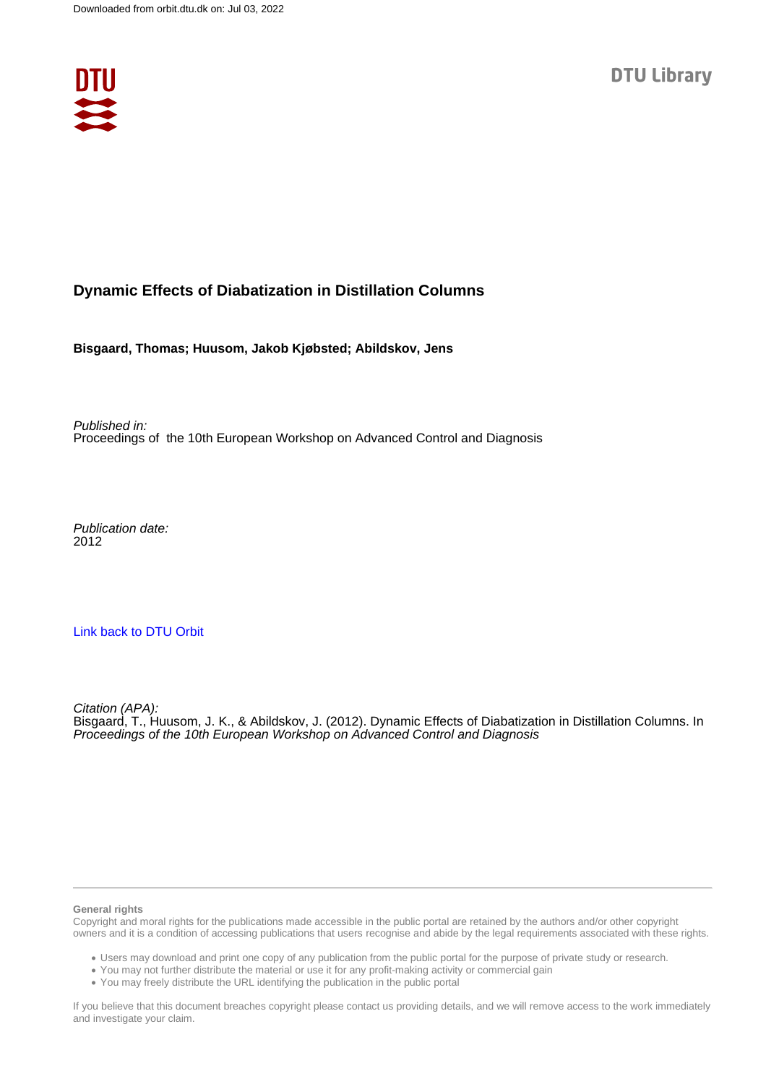

## **Dynamic Effects of Diabatization in Distillation Columns**

**Bisgaard, Thomas; Huusom, Jakob Kjøbsted; Abildskov, Jens**

Published in: Proceedings of the 10th European Workshop on Advanced Control and Diagnosis

Publication date: 2012

## [Link back to DTU Orbit](https://orbit.dtu.dk/en/publications/a177efe1-6a41-4d2c-9846-13c69f662a8b)

Citation (APA): Bisgaard, T., Huusom, J. K., & Abildskov, J. (2012). Dynamic Effects of Diabatization in Distillation Columns. In Proceedings of the 10th European Workshop on Advanced Control and Diagnosis

#### **General rights**

Copyright and moral rights for the publications made accessible in the public portal are retained by the authors and/or other copyright owners and it is a condition of accessing publications that users recognise and abide by the legal requirements associated with these rights.

Users may download and print one copy of any publication from the public portal for the purpose of private study or research.

- You may not further distribute the material or use it for any profit-making activity or commercial gain
- You may freely distribute the URL identifying the publication in the public portal

If you believe that this document breaches copyright please contact us providing details, and we will remove access to the work immediately and investigate your claim.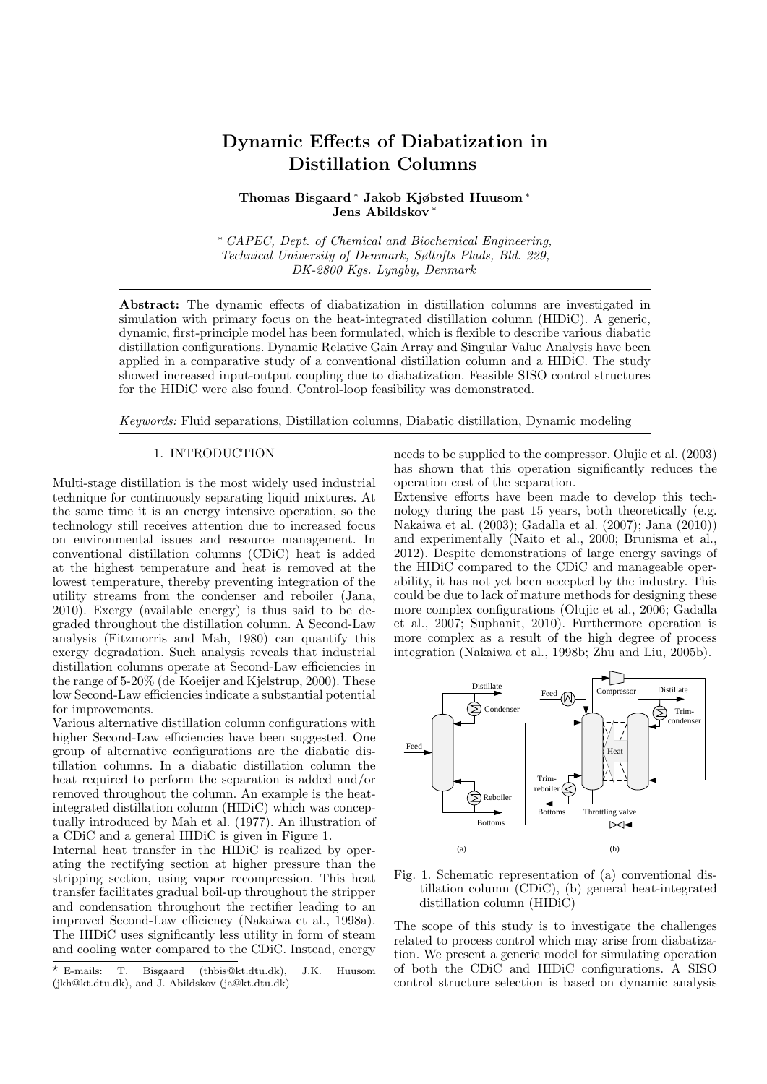# Dynamic Effects of Diabatization in Distillation Columns

## Thomas Bisgaard <sup>∗</sup> Jakob Kjøbsted Huusom <sup>∗</sup> Jens Abildskov <sup>∗</sup>

<sup>∗</sup> CAPEC, Dept. of Chemical and Biochemical Engineering, Technical University of Denmark, Søltofts Plads, Bld. 229, DK-2800 Kgs. Lyngby, Denmark

Abstract: The dynamic effects of diabatization in distillation columns are investigated in simulation with primary focus on the heat-integrated distillation column (HIDiC). A generic, dynamic, first-principle model has been formulated, which is flexible to describe various diabatic distillation configurations. Dynamic Relative Gain Array and Singular Value Analysis have been applied in a comparative study of a conventional distillation column and a HIDiC. The study showed increased input-output coupling due to diabatization. Feasible SISO control structures for the HIDiC were also found. Control-loop feasibility was demonstrated.

Keywords: Fluid separations, Distillation columns, Diabatic distillation, Dynamic modeling

## 1. INTRODUCTION

Multi-stage distillation is the most widely used industrial technique for continuously separating liquid mixtures. At the same time it is an energy intensive operation, so the technology still receives attention due to increased focus on environmental issues and resource management. In conventional distillation columns (CDiC) heat is added at the highest temperature and heat is removed at the lowest temperature, thereby preventing integration of the utility streams from the condenser and reboiler (Jana, 2010). Exergy (available energy) is thus said to be degraded throughout the distillation column. A Second-Law analysis (Fitzmorris and Mah, 1980) can quantify this exergy degradation. Such analysis reveals that industrial distillation columns operate at Second-Law efficiencies in the range of 5-20% (de Koeijer and Kjelstrup, 2000). These low Second-Law efficiencies indicate a substantial potential for improvements.

Various alternative distillation column configurations with higher Second-Law efficiencies have been suggested. One group of alternative configurations are the diabatic distillation columns. In a diabatic distillation column the heat required to perform the separation is added and/or removed throughout the column. An example is the heatintegrated distillation column (HIDiC) which was conceptually introduced by Mah et al. (1977). An illustration of a CDiC and a general HIDiC is given in Figure 1.

Internal heat transfer in the HIDiC is realized by operating the rectifying section at higher pressure than the stripping section, using vapor recompression. This heat transfer facilitates gradual boil-up throughout the stripper and condensation throughout the rectifier leading to an improved Second-Law efficiency (Nakaiwa et al., 1998a). The HIDiC uses significantly less utility in form of steam and cooling water compared to the CDiC. Instead, energy

needs to be supplied to the compressor. Olujic et al. (2003) has shown that this operation significantly reduces the operation cost of the separation.

Extensive efforts have been made to develop this technology during the past 15 years, both theoretically (e.g. Nakaiwa et al. (2003); Gadalla et al. (2007); Jana (2010)) and experimentally (Naito et al., 2000; Brunisma et al., 2012). Despite demonstrations of large energy savings of the HIDiC compared to the CDiC and manageable operability, it has not yet been accepted by the industry. This could be due to lack of mature methods for designing these more complex configurations (Olujic et al., 2006; Gadalla et al., 2007; Suphanit, 2010). Furthermore operation is more complex as a result of the high degree of process integration (Nakaiwa et al., 1998b; Zhu and Liu, 2005b).



Fig. 1. Schematic representation of (a) conventional distillation column (CDiC), (b) general heat-integrated distillation column (HIDiC)

The scope of this study is to investigate the challenges related to process control which may arise from diabatization. We present a generic model for simulating operation of both the CDiC and HIDiC configurations. A SISO control structure selection is based on dynamic analysis

<sup>?</sup> E-mails: T. Bisgaard (thbis@kt.dtu.dk), J.K. Huusom (jkh@kt.dtu.dk), and J. Abildskov (ja@kt.dtu.dk)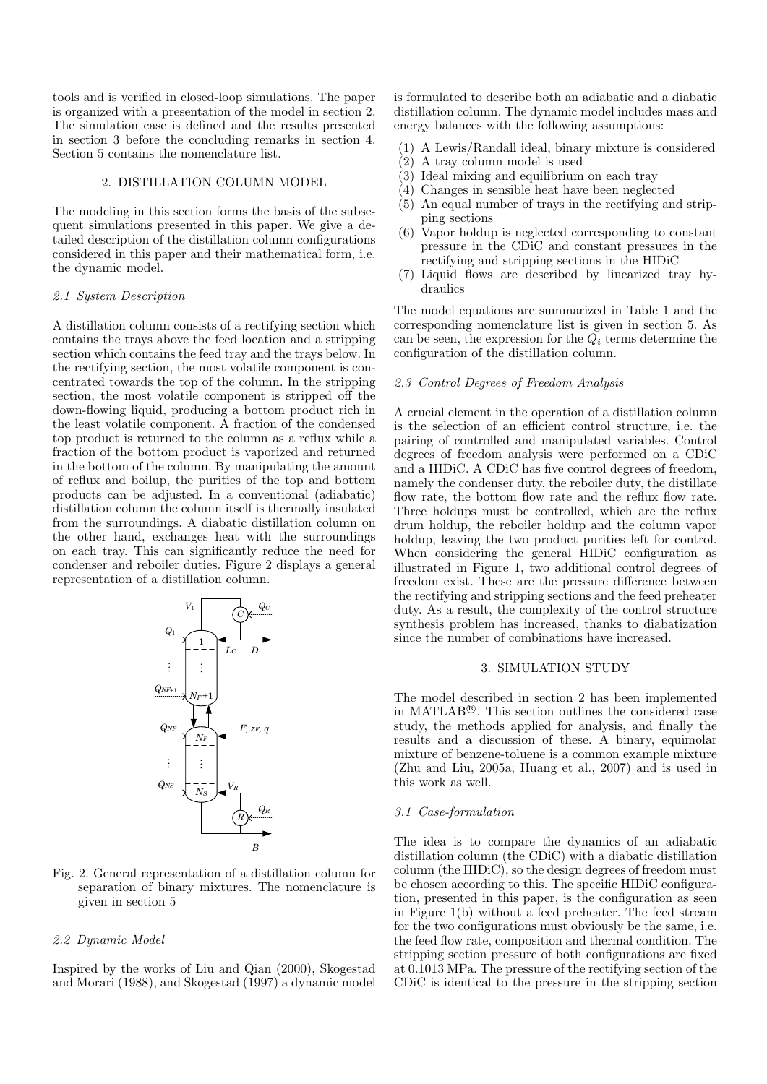tools and is verified in closed-loop simulations. The paper is organized with a presentation of the model in section 2. The simulation case is defined and the results presented in section 3 before the concluding remarks in section 4. Section 5 contains the nomenclature list.

## 2. DISTILLATION COLUMN MODEL

The modeling in this section forms the basis of the subsequent simulations presented in this paper. We give a detailed description of the distillation column configurations considered in this paper and their mathematical form, i.e. the dynamic model.

#### 2.1 System Description

A distillation column consists of a rectifying section which contains the trays above the feed location and a stripping section which contains the feed tray and the trays below. In the rectifying section, the most volatile component is concentrated towards the top of the column. In the stripping *section*, the most volatile component is stripped off the down-flowing liquid, producing a bottom product rich in *Qi*−<sup>1</sup> *x*<sup>1</sup> $\mu$ <sup>*k*</sup> $\mu$ <sup>*z*</sup> $\mu$ <sup>*n*</sup> $\mu$ <sup>*z*</sup> $\mu$ <sup>*n*</sup> $\mu$ <sup>*n*</sup> $\mu$ <sup>*n*</sup> $\mu$ <sup>*n*</sup> $\mu$ <sup>*n*</sup> $\mu$ <sup>*n*</sup> $\mu$ <sup>*n*</sup> $\mu$ <sup>*n*</sup> $\mu$ <sup>*n*</sup> $\mu$ <sup>*n*</sup> $\mu$ <sup>*n*</sup> $\mu$ <sup>*n*</sup> $\mu$ <sup>*n*</sup> $\mu$ <sup>*n*</sup> $\mu$ <sup>*n*</sup> $\mu$ <sup>*n*</sup> $\mu$ <sup>*n*</sup> $\mu$ <sup>*n*</sup> $\mu$ <sup>*n*</sup> $\mu$ <sup>*n*</sup> top product is returned to the column as a reflux while a fraction of the bottom product is vaporized and returned *Li*−<sup>1</sup> *V<sup>i</sup> in* the bottom of the column. By manipulating the amount of reflux and boilup, the purities of the top and bottom products can be adjusted. In a conventional (adiabatic) distillation column the column itself is thermally insulated *x*<sup>*x*</sup> *x***<sup>***i***</sup>+***n***<sub>***x***</sub><sup>***n***</sup><sub>***i***</sub><sup>***x***</sup>** *n***<sup>***i***</sup>+***n***<sup>***i***</sup>+***n***<sub>***i***</sub><sup>***n***</sup>** *i***<sup>***n***</sup>** *n***<sup>***i***</sup>** *n***<sup>***i***</sup>** *n***<sup>***i***</sup>** *n***<sup>***i***</sup>** *n***<sup>***i***</sup>** *n***<sup>***i***</sup>** *n***<sup>***i***</sup>** *n***<sup>***i***</sup>** *n***<sup>***i***</sup>** *n***<sup>***i***</sup>** *n***<sup>***i***</sup>** *n***<sup>***i***</sup>** *n***<sup>***i***</sup>** *n***<sup>***i***</sup>** *n***<sup>***i***</sup>** *n* the other hand, exchanges heat with the surroundings on each tray. This can significantly reduce the need for condenser and reboiler duties. Figure 2 displays a general representation of a distillation column.



## Fig. 2. General representation of a distillation column for separation of binary mixtures. The nomenclature is given in section 5

### 2.2 Dynamic Model

Inspired by the works of Liu and Qian (2000), Skogestad and Morari (1988), and Skogestad (1997) a dynamic model is formulated to describe both an adiabatic and a diabatic distillation column. The dynamic model includes mass and energy balances with the following assumptions:

- (1) A Lewis/Randall ideal, binary mixture is considered
- (2) A tray column model is used
- (3) Ideal mixing and equilibrium on each tray
- (4) Changes in sensible heat have been neglected
- (5) An equal number of trays in the rectifying and stripping sections
- (6) Vapor holdup is neglected corresponding to constant pressure in the CDiC and constant pressures in the rectifying and stripping sections in the HIDiC
- (7) Liquid flows are described by linearized tray hydraulics

The model equations are summarized in Table 1 and the corresponding nomenclature list is given in section 5. As can be seen, the expression for the  $Q_i$  terms determine the configuration of the distillation column.

#### 2.3 Control Degrees of Freedom Analysis

A crucial element in the operation of a distillation column is the selection of an efficient control structure, i.e. the pairing of controlled and manipulated variables. Control degrees of freedom analysis were performed on a CDiC and a HIDiC. A CDiC has five control degrees of freedom, namely the condenser duty, the reboiler duty, the distillate flow rate, the bottom flow rate and the reflux flow rate. Three holdups must be controlled, which are the reflux drum holdup, the reboiler holdup and the column vapor holdup, leaving the two product purities left for control. When considering the general HIDiC configuration as illustrated in Figure 1, two additional control degrees of freedom exist. These are the pressure difference between the rectifying and stripping sections and the feed preheater duty. As a result, the complexity of the control structure synthesis problem has increased, thanks to diabatization since the number of combinations have increased.

#### 3. SIMULATION STUDY

The model described in section 2 has been implemented in MATLAB <sup>R</sup> . This section outlines the considered case study, the methods applied for analysis, and finally the results and a discussion of these. A binary, equimolar mixture of benzene-toluene is a common example mixture (Zhu and Liu, 2005a; Huang et al., 2007) and is used in this work as well.

#### 3.1 Case-formulation

The idea is to compare the dynamics of an adiabatic distillation column (the CDiC) with a diabatic distillation column (the HIDiC), so the design degrees of freedom must be chosen according to this. The specific HIDiC configuration, presented in this paper, is the configuration as seen in Figure 1(b) without a feed preheater. The feed stream for the two configurations must obviously be the same, i.e. the feed flow rate, composition and thermal condition. The stripping section pressure of both configurations are fixed at 0.1013 MPa. The pressure of the rectifying section of the CDiC is identical to the pressure in the stripping section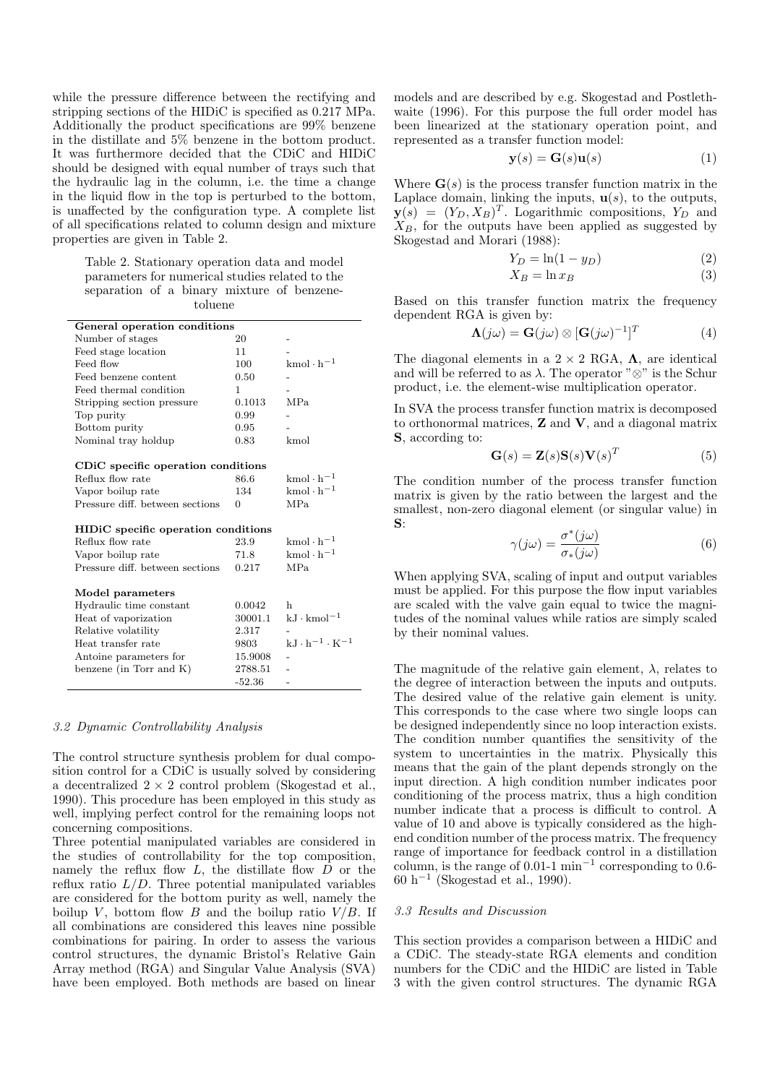while the pressure difference between the rectifying and stripping sections of the HIDiC is specified as 0.217 MPa. Additionally the product specifications are 99% benzene in the distillate and 5% benzene in the bottom product. It was furthermore decided that the CDiC and HIDiC should be designed with equal number of trays such that the hydraulic lag in the column, i.e. the time a change in the liquid flow in the top is perturbed to the bottom, is unaffected by the configuration type. A complete list of all specifications related to column design and mixture properties are given in Table 2.

> Table 2. Stationary operation data and model parameters for numerical studies related to the separation of a binary mixture of benzenetoluene

| General operation conditions                     |              |                                |  |  |  |
|--------------------------------------------------|--------------|--------------------------------|--|--|--|
| Number of stages                                 | 20           |                                |  |  |  |
| Feed stage location                              | 11           |                                |  |  |  |
| Feed flow                                        | 100          | $kmol \cdot h^{-1}$            |  |  |  |
| Feed benzene content                             | 0.50         |                                |  |  |  |
| Feed thermal condition                           | $\mathbf{1}$ |                                |  |  |  |
| Stripping section pressure                       | 0.1013       | MP <sub>a</sub>                |  |  |  |
| Top purity                                       | 0.99         |                                |  |  |  |
| Bottom purity                                    | 0.95         |                                |  |  |  |
| Nominal tray holdup                              | 0.83         | kmol                           |  |  |  |
|                                                  |              |                                |  |  |  |
| CD <sub>i</sub> C specific operation conditions  |              |                                |  |  |  |
| Reflux flow rate                                 | 86.6         | $kmol \cdot h^{-1}$            |  |  |  |
| Vapor boilup rate                                | 134          | $kmol \cdot h^{-1}$            |  |  |  |
| Pressure diff. between sections                  | $\Omega$     | MP <sub>a</sub>                |  |  |  |
|                                                  |              |                                |  |  |  |
| HID <sub>i</sub> C specific operation conditions |              |                                |  |  |  |
| Reflux flow rate                                 | 23.9         | $kmol \cdot h^{-1}$            |  |  |  |
| Vapor boilup rate                                | 71.8         | $kmol \cdot h^{-1}$            |  |  |  |
| Pressure diff. between sections                  | 0.217        | MP <sub>a</sub>                |  |  |  |
|                                                  |              |                                |  |  |  |
| Model parameters                                 |              |                                |  |  |  |
| Hydraulic time constant                          | 0.0042       | h                              |  |  |  |
| Heat of vaporization                             | 30001.1      | $kJ \cdot kmol^{-1}$           |  |  |  |
| Relative volatility                              | 2.317        |                                |  |  |  |
| Heat transfer rate                               | 9803         | $kJ \cdot h^{-1} \cdot K^{-1}$ |  |  |  |
| Antoine parameters for                           | 15.9008      |                                |  |  |  |
| benzene (in Torr and K)                          | 2788.51      |                                |  |  |  |
|                                                  | $-52.36$     |                                |  |  |  |
|                                                  |              |                                |  |  |  |

### 3.2 Dynamic Controllability Analysis

The control structure synthesis problem for dual composition control for a CDiC is usually solved by considering a decentralized  $2 \times 2$  control problem (Skogestad et al., 1990). This procedure has been employed in this study as well, implying perfect control for the remaining loops not concerning compositions.

Three potential manipulated variables are considered in the studies of controllability for the top composition, namely the reflux flow  $L$ , the distillate flow  $D$  or the reflux ratio  $L/D$ . Three potential manipulated variables are considered for the bottom purity as well, namely the boilup V, bottom flow B and the boilup ratio  $V/B$ . If all combinations are considered this leaves nine possible combinations for pairing. In order to assess the various control structures, the dynamic Bristol's Relative Gain Array method (RGA) and Singular Value Analysis (SVA) have been employed. Both methods are based on linear

models and are described by e.g. Skogestad and Postlethwaite (1996). For this purpose the full order model has been linearized at the stationary operation point, and represented as a transfer function model:

$$
\mathbf{y}(s) = \mathbf{G}(s)\mathbf{u}(s) \tag{1}
$$

Where  $\mathbf{G}(s)$  is the process transfer function matrix in the Laplace domain, linking the inputs,  $\mathbf{u}(s)$ , to the outputs,  $y(s) = (Y_D, X_B)^T$ . Logarithmic compositions,  $Y_D$  and  $X_B$ , for the outputs have been applied as suggested by Skogestad and Morari (1988):

$$
Y_D = \ln(1 - y_D) \tag{2}
$$

$$
X_B = \ln x_B \tag{3}
$$

Based on this transfer function matrix the frequency dependent RGA is given by:

$$
\mathbf{\Lambda}(j\omega) = \mathbf{G}(j\omega) \otimes [\mathbf{G}(j\omega)^{-1}]^{T}
$$
 (4)

The diagonal elements in a  $2 \times 2$  RGA,  $\Lambda$ , are identical and will be referred to as  $\lambda$ . The operator "⊗" is the Schur product, i.e. the element-wise multiplication operator.

In SVA the process transfer function matrix is decomposed to orthonormal matrices, Z and V, and a diagonal matrix S, according to:

$$
\mathbf{G}(s) = \mathbf{Z}(s)\mathbf{S}(s)\mathbf{V}(s)^{T} \tag{5}
$$

The condition number of the process transfer function matrix is given by the ratio between the largest and the smallest, non-zero diagonal element (or singular value) in S:

$$
\gamma(j\omega) = \frac{\sigma^*(j\omega)}{\sigma_*(j\omega)}\tag{6}
$$

When applying SVA, scaling of input and output variables must be applied. For this purpose the flow input variables are scaled with the valve gain equal to twice the magnitudes of the nominal values while ratios are simply scaled by their nominal values.

The magnitude of the relative gain element,  $\lambda$ , relates to the degree of interaction between the inputs and outputs. The desired value of the relative gain element is unity. This corresponds to the case where two single loops can be designed independently since no loop interaction exists. The condition number quantifies the sensitivity of the system to uncertainties in the matrix. Physically this means that the gain of the plant depends strongly on the input direction. A high condition number indicates poor conditioning of the process matrix, thus a high condition number indicate that a process is difficult to control. A value of 10 and above is typically considered as the highend condition number of the process matrix. The frequency range of importance for feedback control in a distillation column, is the range of 0.01-1 min<sup>−</sup><sup>1</sup> corresponding to 0.6- 60 h<sup>−</sup><sup>1</sup> (Skogestad et al., 1990).

#### 3.3 Results and Discussion

This section provides a comparison between a HIDiC and a CDiC. The steady-state RGA elements and condition numbers for the CDiC and the HIDiC are listed in Table 3 with the given control structures. The dynamic RGA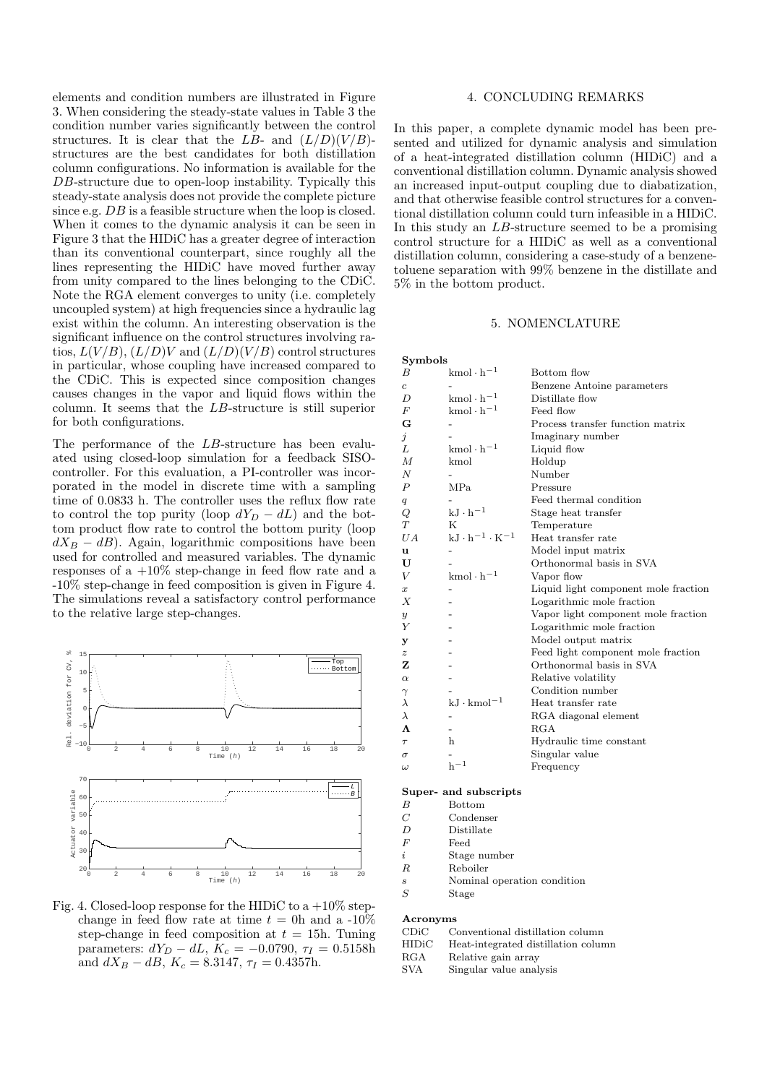elements and condition numbers are illustrated in Figure 3. When considering the steady-state values in Table 3 the condition number varies significantly between the control structures. It is clear that the LB- and  $(L/D)(V/B)$ structures are the best candidates for both distillation column configurations. No information is available for the DB-structure due to open-loop instability. Typically this steady-state analysis does not provide the complete picture since e.g.  $DB$  is a feasible structure when the loop is closed. When it comes to the dynamic analysis it can be seen in Figure 3 that the HIDiC has a greater degree of interaction than its conventional counterpart, since roughly all the lines representing the HIDiC have moved further away from unity compared to the lines belonging to the CDiC. Note the RGA element converges to unity (i.e. completely uncoupled system) at high frequencies since a hydraulic lag exist within the column. An interesting observation is the significant influence on the control structures involving ratios,  $L(V/B)$ ,  $(L/D)V$  and  $(L/D)(V/B)$  control structures in particular, whose coupling have increased compared to the CDiC. This is expected since composition changes causes changes in the vapor and liquid flows within the column. It seems that the LB-structure is still superior for both configurations.

The performance of the LB-structure has been evaluated using closed-loop simulation for a feedback SISOcontroller. For this evaluation, a PI-controller was incorporated in the model in discrete time with a sampling time of 0.0833 h. The controller uses the reflux flow rate to control the top purity (loop  $dY_D - dL$ ) and the bottom product flow rate to control the bottom purity (loop  $dX_B - dB$ ). Again, logarithmic compositions have been used for controlled and measured variables. The dynamic responses of a  $+10\%$  step-change in feed flow rate and a -10% step-change in feed composition is given in Figure 4. The simulations reveal a satisfactory control performance to the relative large step-changes.



## Fig. 4. Closed-loop response for the HIDiC to a  $+10\%$  stepchange in feed flow rate at time  $t = 0$ h and a -10% step-change in feed composition at  $t = 15$ h. Tuning parameters:  $dY_D - dL$ ,  $K_c = -0.0790$ ,  $\tau_I = 0.5158$ h and  $dX_B - dB$ ,  $K_c = 8.3147$ ,  $\tau_I = 0.4357$ h.

#### 4. CONCLUDING REMARKS

In this paper, a complete dynamic model has been presented and utilized for dynamic analysis and simulation of a heat-integrated distillation column (HIDiC) and a conventional distillation column. Dynamic analysis showed an increased input-output coupling due to diabatization, and that otherwise feasible control structures for a conventional distillation column could turn infeasible in a HIDiC. In this study an LB-structure seemed to be a promising control structure for a HIDiC as well as a conventional distillation column, considering a case-study of a benzenetoluene separation with 99% benzene in the distillate and 5% in the bottom product.

#### 5. NOMENCLATURE

| <b>Symbols</b>   |                                                       |                                      |
|------------------|-------------------------------------------------------|--------------------------------------|
| B                | $kmol \cdot h^{-1}$                                   | Bottom flow                          |
| $\boldsymbol{c}$ |                                                       | Benzene Antoine parameters           |
| D                | $kmol \cdot h^{-1}$                                   | Distillate flow                      |
| F                | $kmol \cdot h^{-1}$                                   | Feed flow                            |
| G                |                                                       | Process transfer function matrix     |
| $\boldsymbol{j}$ |                                                       | Imaginary number                     |
| L                | $kmol \cdot h^{-1}$                                   | Liquid flow                          |
| $\boldsymbol{M}$ | kmol                                                  | Holdup                               |
| $\boldsymbol{N}$ |                                                       | Number                               |
| $\boldsymbol{P}$ | MPa                                                   | Pressure                             |
| q                |                                                       | Feed thermal condition               |
| Q                | $kJ \cdot h^{-1}$                                     | Stage heat transfer                  |
| T                | K                                                     | Temperature                          |
| UA               | $\mathrm{kJ}\cdot\mathrm{h}^{-1}\cdot\mathrm{K}^{-1}$ | Heat transfer rate                   |
| u                |                                                       | Model input matrix                   |
| U                |                                                       | Orthonormal basis in SVA             |
| V                | $kmol \cdot h^{-1}$                                   | Vapor flow                           |
| $\boldsymbol{x}$ |                                                       | Liquid light component mole fraction |
| Х                |                                                       | Logarithmic mole fraction            |
| $\boldsymbol{y}$ |                                                       | Vapor light component mole fraction  |
| Y                |                                                       | Logarithmic mole fraction            |
| У                |                                                       | Model output matrix                  |
| $\boldsymbol{z}$ |                                                       | Feed light component mole fraction   |
| z                |                                                       | Orthonormal basis in SVA             |
| $\alpha$         |                                                       | Relative volatility                  |
| $\gamma$         |                                                       | Condition number                     |
| $\lambda$        | $kJ \cdot kmol^{-1}$                                  | Heat transfer rate                   |
| $\lambda$        |                                                       | RGA diagonal element                 |
| Λ                |                                                       | $_{\rm RGA}$                         |
| $\tau$           | h                                                     | Hydraulic time constant              |
| $\sigma$         |                                                       | Singular value                       |
| ω                | $h^{-1}$                                              | Frequency                            |
|                  |                                                       |                                      |

#### Super- and subscripts

- B Bottom
- C Condenser
- $\begin{tabular}{ll} $D$ & \hspace{15pt} \textbf{D} \text{ is } t \textbf{ill} \textbf{ate} \end{tabular}$
- Feed
- $\begin{tabular}{ll} $i$ & \hspace*{2em}Stage number \\ $R$ & \hspace*{2em} Reboiler \end{tabular}$
- Reboiler
- $s$  Nominal operation condition<br> $S$  Stage
- Stage

#### Acronyms

- CDiC Conventional distillation column
- HIDiC Heat-integrated distillation column
- RGA Relative gain array
- SVA Singular value analysis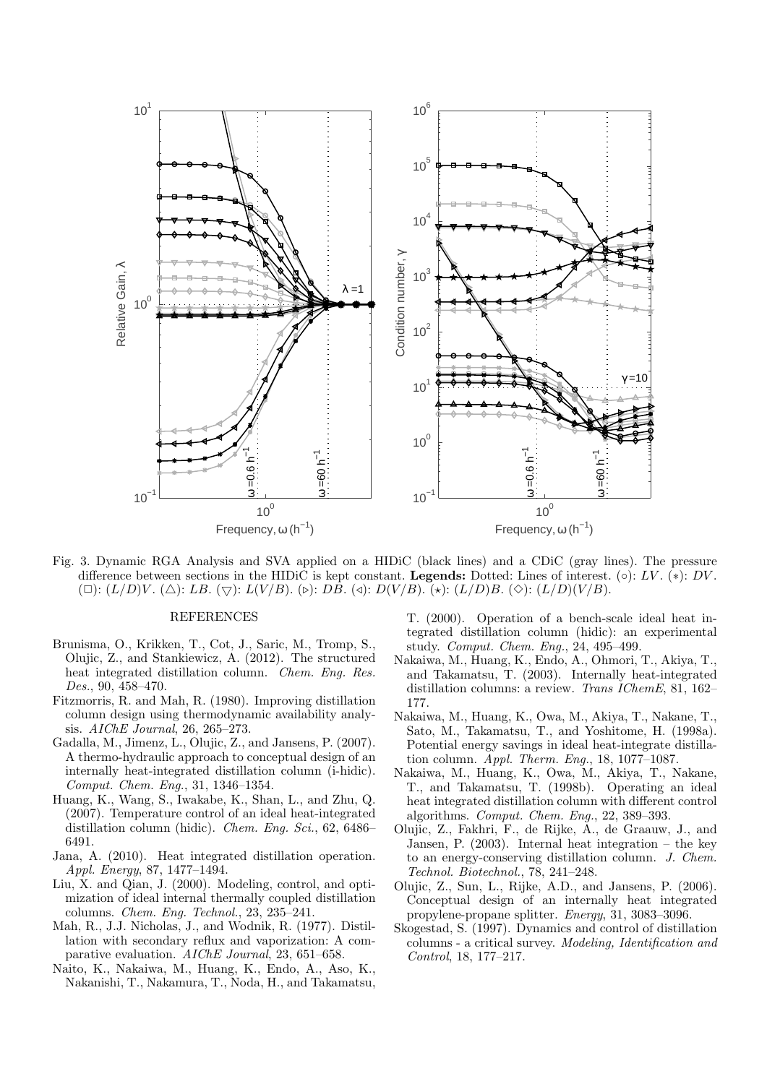

Fig. 3. Dynamic RGA Analysis and SVA applied on a HIDiC (black lines) and a CDiC (gray lines). The pressure difference between sections in the HIDiC is kept constant. Legends: Dotted: Lines of interest. (○):  $LV.$  (\*):  $DV$ . ( $\Box$ ): ( $L/D$ )V. ( $\triangle$ ):  $LB$ . ( $\bigtriangledown$ ):  $L(V/B)$ . ( $\triangleright$ ):  $DB$ . ( $\triangle$ ):  $D(V/B)$ . ( $\star$ ): ( $L/D$ ) $B$ . ( $\diamond$ ): ( $L/D$ )( $V/B$ ).

#### REFERENCES

- Brunisma, O., Krikken, T., Cot, J., Saric, M., Tromp, S., Olujic, Z., and Stankiewicz, A. (2012). The structured heat integrated distillation column. Chem. Eng. Res. Des., 90, 458–470.
- Fitzmorris, R. and Mah, R. (1980). Improving distillation column design using thermodynamic availability analysis. AIChE Journal, 26, 265–273.
- Gadalla, M., Jimenz, L., Olujic, Z., and Jansens, P. (2007). A thermo-hydraulic approach to conceptual design of an internally heat-integrated distillation column (i-hidic). Comput. Chem. Eng., 31, 1346–1354.
- Huang, K., Wang, S., Iwakabe, K., Shan, L., and Zhu, Q. (2007). Temperature control of an ideal heat-integrated distillation column (hidic). *Chem. Eng. Sci.*, 62, 6486– 6491.
- Jana, A. (2010). Heat integrated distillation operation. Appl. Energy, 87, 1477–1494.
- Liu, X. and Qian, J. (2000). Modeling, control, and optimization of ideal internal thermally coupled distillation columns. Chem. Eng. Technol., 23, 235–241.
- Mah, R., J.J. Nicholas, J., and Wodnik, R. (1977). Distillation with secondary reflux and vaporization: A comparative evaluation. AIChE Journal, 23, 651–658.
- Naito, K., Nakaiwa, M., Huang, K., Endo, A., Aso, K., Nakanishi, T., Nakamura, T., Noda, H., and Takamatsu,

T. (2000). Operation of a bench-scale ideal heat integrated distillation column (hidic): an experimental study. Comput. Chem. Eng., 24, 495–499.

- Nakaiwa, M., Huang, K., Endo, A., Ohmori, T., Akiya, T., and Takamatsu, T. (2003). Internally heat-integrated distillation columns: a review. Trans IChemE, 81, 162– 177.
- Nakaiwa, M., Huang, K., Owa, M., Akiya, T., Nakane, T., Sato, M., Takamatsu, T., and Yoshitome, H. (1998a). Potential energy savings in ideal heat-integrate distillation column. Appl. Therm. Eng., 18, 1077–1087.
- Nakaiwa, M., Huang, K., Owa, M., Akiya, T., Nakane, T., and Takamatsu, T. (1998b). Operating an ideal heat integrated distillation column with different control algorithms. Comput. Chem. Eng., 22, 389–393.
- Olujic, Z., Fakhri, F., de Rijke, A., de Graauw, J., and Jansen, P. (2003). Internal heat integration – the key to an energy-conserving distillation column. J. Chem. Technol. Biotechnol., 78, 241–248.
- Olujic, Z., Sun, L., Rijke, A.D., and Jansens, P. (2006). Conceptual design of an internally heat integrated propylene-propane splitter. Energy, 31, 3083–3096.
- Skogestad, S. (1997). Dynamics and control of distillation columns - a critical survey. Modeling, Identification and Control, 18, 177–217.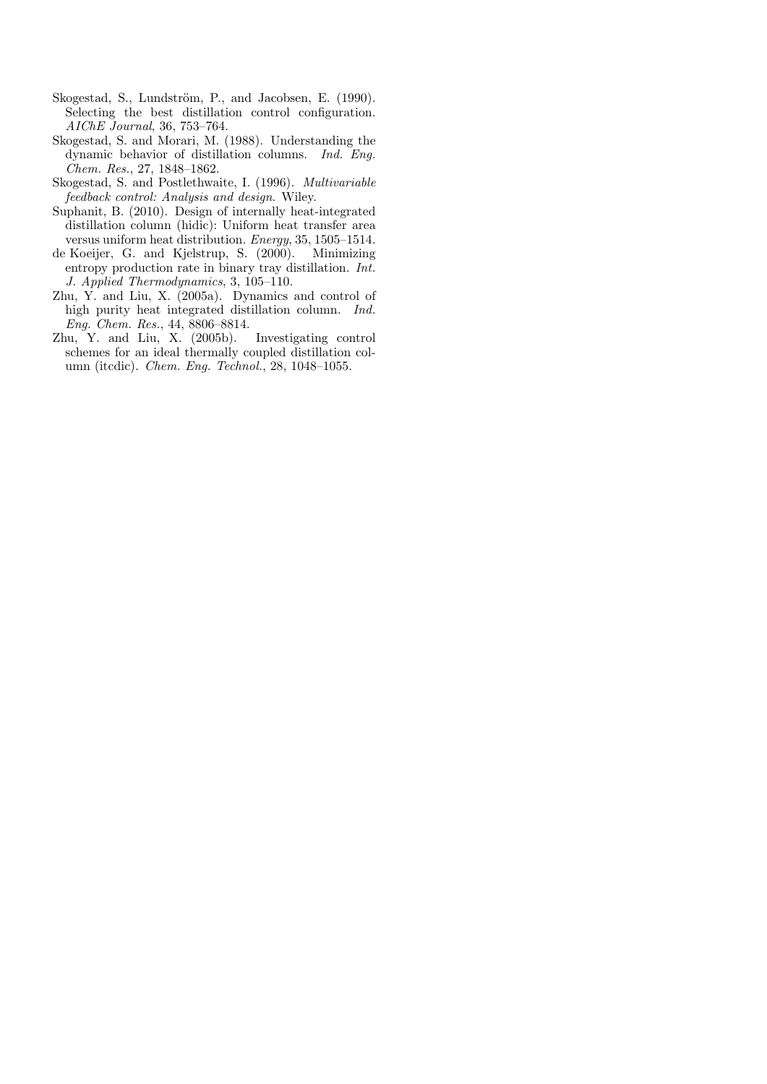- Skogestad, S., Lundström, P., and Jacobsen, E. (1990). Selecting the best distillation control configuration. AIChE Journal, 36, 753–764.
- Skogestad, S. and Morari, M. (1988). Understanding the dynamic behavior of distillation columns. Ind. Eng. Chem. Res., 27, 1848–1862.
- Skogestad, S. and Postlethwaite, I. (1996). Multivariable feedback control: Analysis and design. Wiley.
- Suphanit, B. (2010). Design of internally heat-integrated distillation column (hidic): Uniform heat transfer area versus uniform heat distribution. Energy, 35, 1505–1514.
- de Koeijer, G. and Kjelstrup, S. (2000). Minimizing entropy production rate in binary tray distillation. Int. J. Applied Thermodynamics, 3, 105–110.
- Zhu, Y. and Liu, X. (2005a). Dynamics and control of high purity heat integrated distillation column. Ind. Eng. Chem. Res., 44, 8806–8814.
- Zhu, Y. and Liu, X. (2005b). Investigating control schemes for an ideal thermally coupled distillation column (itcdic). Chem. Eng. Technol., 28, 1048–1055.